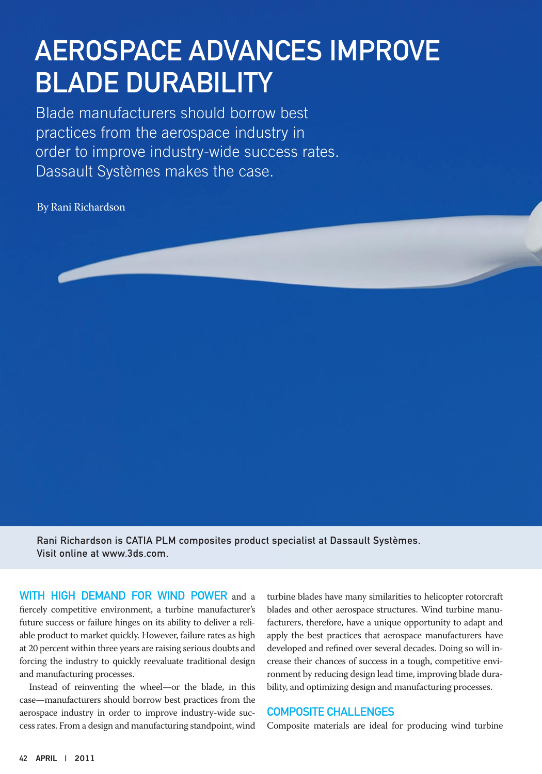# Aerospace Advances Improve Blade Durability

Blade manufacturers should borrow best practices from the aerospace industry in order to improve industry-wide success rates. Dassault Systèmes makes the case.

By Rani Richardson



Rani Richardson is CATIA PLM composites product specialist at Dassault Systèmes. Visit online at www.3ds.com.

WITH HIGH DEMAND FOR WIND POWER and a fiercely competitive environment, a turbine manufacturer's future success or failure hinges on its ability to deliver a reliable product to market quickly. However, failure rates as high at 20 percent within three years are raising serious doubts and forcing the industry to quickly reevaluate traditional design and manufacturing processes.

Instead of reinventing the wheel—or the blade, in this case—manufacturers should borrow best practices from the aerospace industry in order to improve industry-wide success rates. From a design and manufacturing standpoint, wind turbine blades have many similarities to helicopter rotorcraft blades and other aerospace structures. Wind turbine manufacturers, therefore, have a unique opportunity to adapt and apply the best practices that aerospace manufacturers have developed and refined over several decades. Doing so will increase their chances of success in a tough, competitive environment by reducing design lead time, improving blade durability, and optimizing design and manufacturing processes.

#### Composite Challenges

Composite materials are ideal for producing wind turbine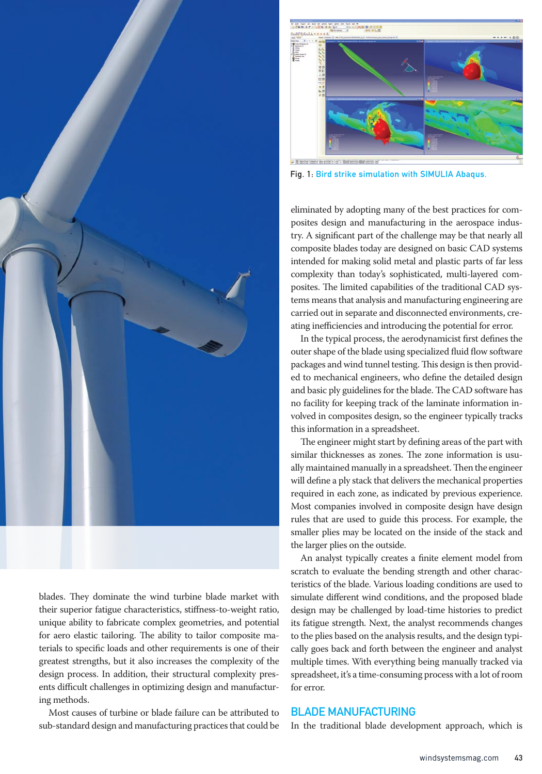

blades. They dominate the wind turbine blade market with their superior fatigue characteristics, stiffness-to-weight ratio, unique ability to fabricate complex geometries, and potential for aero elastic tailoring. The ability to tailor composite materials to specific loads and other requirements is one of their greatest strengths, but it also increases the complexity of the design process. In addition, their structural complexity presents difficult challenges in optimizing design and manufacturing methods.

Most causes of turbine or blade failure can be attributed to sub-standard design and manufacturing practices that could be



Fig. 1: Bird strike simulation with SIMULIA Abaqus.

eliminated by adopting many of the best practices for composites design and manufacturing in the aerospace industry. A significant part of the challenge may be that nearly all composite blades today are designed on basic CAD systems intended for making solid metal and plastic parts of far less complexity than today's sophisticated, multi-layered composites. The limited capabilities of the traditional CAD systems means that analysis and manufacturing engineering are carried out in separate and disconnected environments, creating inefficiencies and introducing the potential for error.

In the typical process, the aerodynamicist first defines the outer shape of the blade using specialized fluid flow software packages and wind tunnel testing. This design is then provided to mechanical engineers, who define the detailed design and basic ply guidelines for the blade. The CAD software has no facility for keeping track of the laminate information involved in composites design, so the engineer typically tracks this information in a spreadsheet.

The engineer might start by defining areas of the part with similar thicknesses as zones. The zone information is usually maintained manually in a spreadsheet. Then the engineer will define a ply stack that delivers the mechanical properties required in each zone, as indicated by previous experience. Most companies involved in composite design have design rules that are used to guide this process. For example, the smaller plies may be located on the inside of the stack and the larger plies on the outside.

An analyst typically creates a finite element model from scratch to evaluate the bending strength and other characteristics of the blade. Various loading conditions are used to simulate different wind conditions, and the proposed blade design may be challenged by load-time histories to predict its fatigue strength. Next, the analyst recommends changes to the plies based on the analysis results, and the design typically goes back and forth between the engineer and analyst multiple times. With everything being manually tracked via spreadsheet, it's a time-consuming process with a lot of room for error.

## Blade Manufacturing

In the traditional blade development approach, which is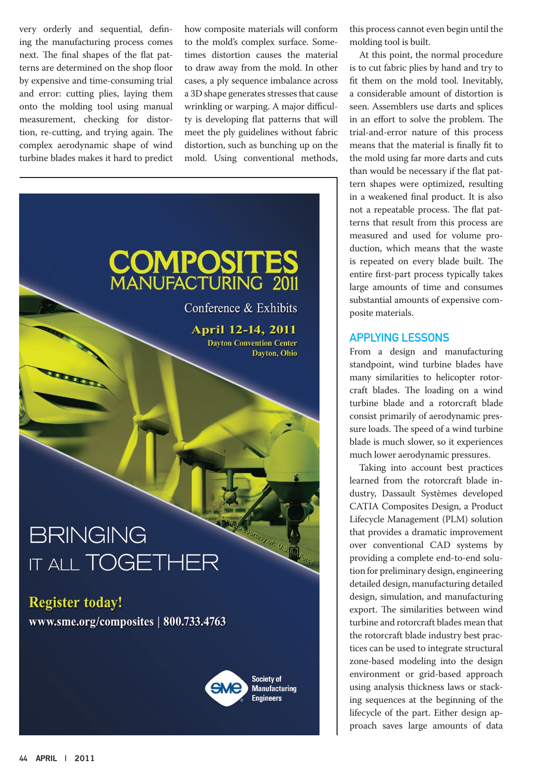very orderly and sequential, defining the manufacturing process comes next. The final shapes of the flat patterns are determined on the shop floor by expensive and time-consuming trial and error: cutting plies, laying them onto the molding tool using manual measurement, checking for distortion, re-cutting, and trying again. The complex aerodynamic shape of wind turbine blades makes it hard to predict how composite materials will conform to the mold's complex surface. Sometimes distortion causes the material to draw away from the mold. In other cases, a ply sequence imbalance across a 3D shape generates stresses that cause wrinkling or warping. A major difficulty is developing flat patterns that will meet the ply guidelines without fabric distortion, such as bunching up on the mold. Using conventional methods,



this process cannot even begin until the molding tool is built.

At this point, the normal procedure is to cut fabric plies by hand and try to fit them on the mold tool. Inevitably, a considerable amount of distortion is seen. Assemblers use darts and splices in an effort to solve the problem. The trial-and-error nature of this process means that the material is finally fit to the mold using far more darts and cuts than would be necessary if the flat pattern shapes were optimized, resulting in a weakened final product. It is also not a repeatable process. The flat patterns that result from this process are measured and used for volume production, which means that the waste is repeated on every blade built. The entire first-part process typically takes large amounts of time and consumes substantial amounts of expensive composite materials.

## Applying Lessons

From a design and manufacturing standpoint, wind turbine blades have many similarities to helicopter rotorcraft blades. The loading on a wind turbine blade and a rotorcraft blade consist primarily of aerodynamic pressure loads. The speed of a wind turbine blade is much slower, so it experiences much lower aerodynamic pressures.

Taking into account best practices learned from the rotorcraft blade industry, Dassault Systèmes developed CATIA Composites Design, a Product Lifecycle Management (PLM) solution that provides a dramatic improvement over conventional CAD systems by providing a complete end-to-end solution for preliminary design, engineering detailed design, manufacturing detailed design, simulation, and manufacturing export. The similarities between wind turbine and rotorcraft blades mean that the rotorcraft blade industry best practices can be used to integrate structural zone-based modeling into the design environment or grid-based approach using analysis thickness laws or stacking sequences at the beginning of the lifecycle of the part. Either design approach saves large amounts of data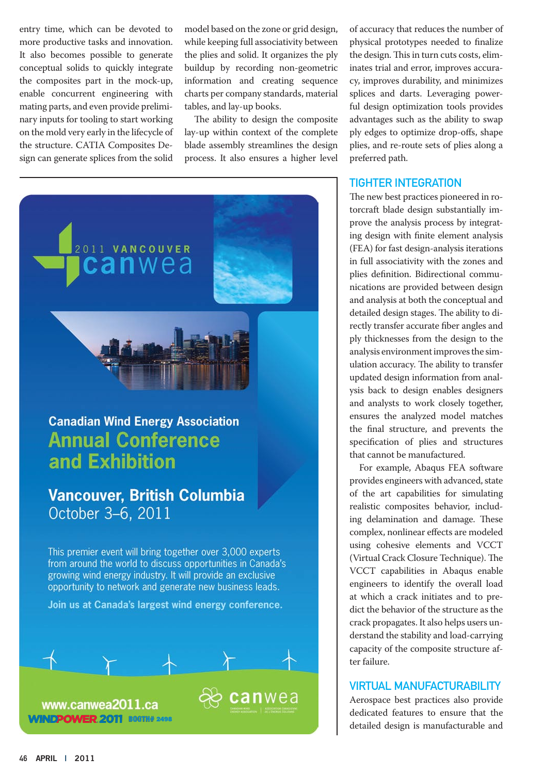entry time, which can be devoted to more productive tasks and innovation. It also becomes possible to generate conceptual solids to quickly integrate the composites part in the mock-up, enable concurrent engineering with mating parts, and even provide preliminary inputs for tooling to start working on the mold very early in the lifecycle of the structure. CATIA Composites Design can generate splices from the solid model based on the zone or grid design, while keeping full associativity between the plies and solid. It organizes the ply buildup by recording non-geometric information and creating sequence charts per company standards, material tables, and lay-up books.

The ability to design the composite lay-up within context of the complete blade assembly streamlines the design process. It also ensures a higher level



This premier event will bring together over 3,000 experts from around the world to discuss opportunities in Canada's growing wind energy industry. It will provide an exclusive opportunity to network and generate new business leads.

Join us at Canada's largest wind energy conference.



of accuracy that reduces the number of physical prototypes needed to finalize the design. This in turn cuts costs, eliminates trial and error, improves accuracy, improves durability, and minimizes splices and darts. Leveraging powerful design optimization tools provides advantages such as the ability to swap ply edges to optimize drop-offs, shape plies, and re-route sets of plies along a preferred path.

### Tighter Integration

The new best practices pioneered in rotorcraft blade design substantially improve the analysis process by integrating design with finite element analysis (FEA) for fast design-analysis iterations in full associativity with the zones and plies definition. Bidirectional communications are provided between design and analysis at both the conceptual and detailed design stages. The ability to directly transfer accurate fiber angles and ply thicknesses from the design to the analysis environment improves the simulation accuracy. The ability to transfer updated design information from analysis back to design enables designers and analysts to work closely together, ensures the analyzed model matches the final structure, and prevents the specification of plies and structures that cannot be manufactured.

For example, Abaqus FEA software provides engineers with advanced, state of the art capabilities for simulating realistic composites behavior, including delamination and damage. These complex, nonlinear effects are modeled using cohesive elements and VCCT (Virtual Crack Closure Technique). The VCCT capabilities in Abaqus enable engineers to identify the overall load at which a crack initiates and to predict the behavior of the structure as the crack propagates. It also helps users understand the stability and load-carrying capacity of the composite structure after failure.

## Virtual Manufacturability

Aerospace best practices also provide dedicated features to ensure that the detailed design is manufacturable and